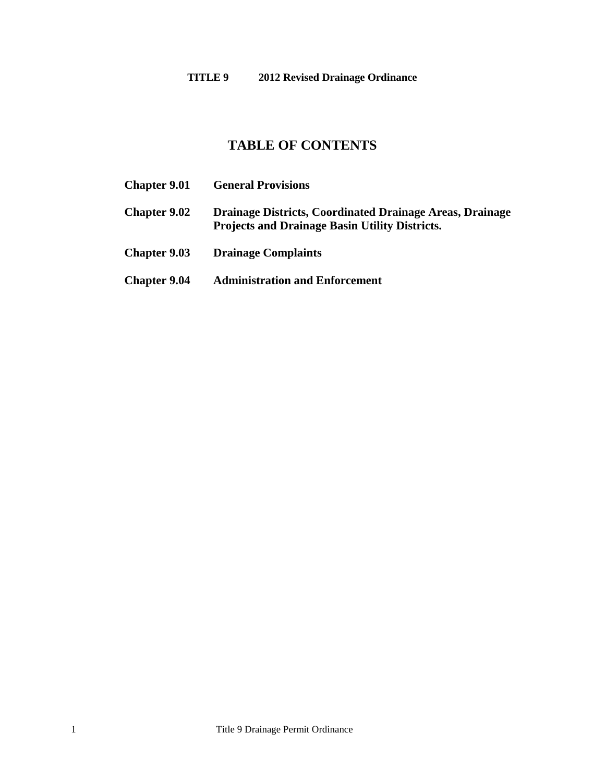# **TABLE OF CONTENTS**

**Chapter 9.01 [General Provisions](#page-1-0) [Chapter 9.02](#page-4-0) Drainage Districts, Coordinated Drainage Areas, Drainage Projects and Drainage Basin Utility Districts. Chapter 9.03 [Drainage Complaints](#page-7-0) Chapter 9.04 [Administration and Enforcement](#page-8-0)**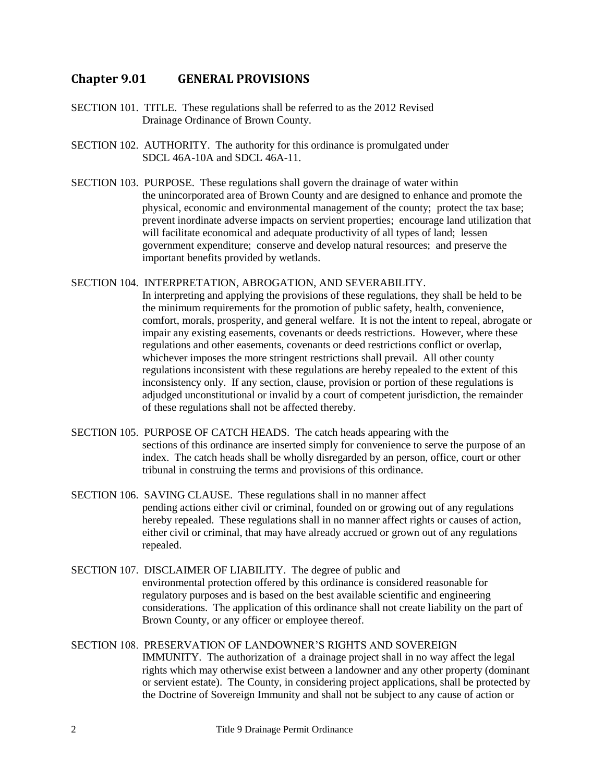### <span id="page-1-0"></span>**Chapter 9.01 GENERAL PROVISIONS**

- SECTION 101. TITLE. These regulations shall be referred to as the 2012 Revised Drainage Ordinance of Brown County.
- SECTION 102. AUTHORITY. The authority for this ordinance is promulgated under SDCL 46A-10A and SDCL 46A-11.
- SECTION 103. PURPOSE. These regulations shall govern the drainage of water within the unincorporated area of Brown County and are designed to enhance and promote the physical, economic and environmental management of the county; protect the tax base; prevent inordinate adverse impacts on servient properties; encourage land utilization that will facilitate economical and adequate productivity of all types of land; lessen government expenditure; conserve and develop natural resources; and preserve the important benefits provided by wetlands.

#### SECTION 104. INTERPRETATION, ABROGATION, AND SEVERABILITY.

In interpreting and applying the provisions of these regulations, they shall be held to be the minimum requirements for the promotion of public safety, health, convenience, comfort, morals, prosperity, and general welfare. It is not the intent to repeal, abrogate or impair any existing easements, covenants or deeds restrictions. However, where these regulations and other easements, covenants or deed restrictions conflict or overlap, whichever imposes the more stringent restrictions shall prevail. All other county regulations inconsistent with these regulations are hereby repealed to the extent of this inconsistency only. If any section, clause, provision or portion of these regulations is adjudged unconstitutional or invalid by a court of competent jurisdiction, the remainder of these regulations shall not be affected thereby.

- SECTION 105. PURPOSE OF CATCH HEADS. The catch heads appearing with the sections of this ordinance are inserted simply for convenience to serve the purpose of an index. The catch heads shall be wholly disregarded by an person, office, court or other tribunal in construing the terms and provisions of this ordinance.
- SECTION 106. SAVING CLAUSE. These regulations shall in no manner affect pending actions either civil or criminal, founded on or growing out of any regulations hereby repealed. These regulations shall in no manner affect rights or causes of action, either civil or criminal, that may have already accrued or grown out of any regulations repealed.
- SECTION 107. DISCLAIMER OF LIABILITY. The degree of public and environmental protection offered by this ordinance is considered reasonable for regulatory purposes and is based on the best available scientific and engineering considerations. The application of this ordinance shall not create liability on the part of Brown County, or any officer or employee thereof.
- SECTION 108. PRESERVATION OF LANDOWNER'S RIGHTS AND SOVEREIGN IMMUNITY. The authorization of a drainage project shall in no way affect the legal rights which may otherwise exist between a landowner and any other property (dominant or servient estate). The County, in considering project applications, shall be protected by the Doctrine of Sovereign Immunity and shall not be subject to any cause of action or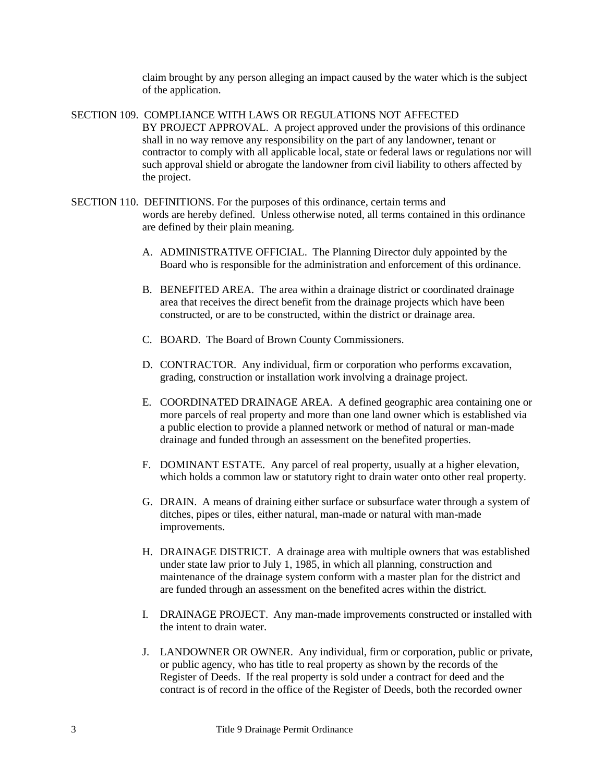claim brought by any person alleging an impact caused by the water which is the subject of the application.

SECTION 109. COMPLIANCE WITH LAWS OR REGULATIONS NOT AFFECTED BY PROJECT APPROVAL. A project approved under the provisions of this ordinance shall in no way remove any responsibility on the part of any landowner, tenant or contractor to comply with all applicable local, state or federal laws or regulations nor will such approval shield or abrogate the landowner from civil liability to others affected by the project.

- SECTION 110. DEFINITIONS. For the purposes of this ordinance, certain terms and words are hereby defined. Unless otherwise noted, all terms contained in this ordinance are defined by their plain meaning.
	- A. ADMINISTRATIVE OFFICIAL. The Planning Director duly appointed by the Board who is responsible for the administration and enforcement of this ordinance.
	- B. BENEFITED AREA. The area within a drainage district or coordinated drainage area that receives the direct benefit from the drainage projects which have been constructed, or are to be constructed, within the district or drainage area.
	- C. BOARD. The Board of Brown County Commissioners.
	- D. CONTRACTOR. Any individual, firm or corporation who performs excavation, grading, construction or installation work involving a drainage project.
	- E. COORDINATED DRAINAGE AREA. A defined geographic area containing one or more parcels of real property and more than one land owner which is established via a public election to provide a planned network or method of natural or man-made drainage and funded through an assessment on the benefited properties.
	- F. DOMINANT ESTATE. Any parcel of real property, usually at a higher elevation, which holds a common law or statutory right to drain water onto other real property.
	- G. DRAIN. A means of draining either surface or subsurface water through a system of ditches, pipes or tiles, either natural, man-made or natural with man-made improvements.
	- H. DRAINAGE DISTRICT. A drainage area with multiple owners that was established under state law prior to July 1, 1985, in which all planning, construction and maintenance of the drainage system conform with a master plan for the district and are funded through an assessment on the benefited acres within the district.
	- I. DRAINAGE PROJECT. Any man-made improvements constructed or installed with the intent to drain water.
	- J. LANDOWNER OR OWNER. Any individual, firm or corporation, public or private, or public agency, who has title to real property as shown by the records of the Register of Deeds. If the real property is sold under a contract for deed and the contract is of record in the office of the Register of Deeds, both the recorded owner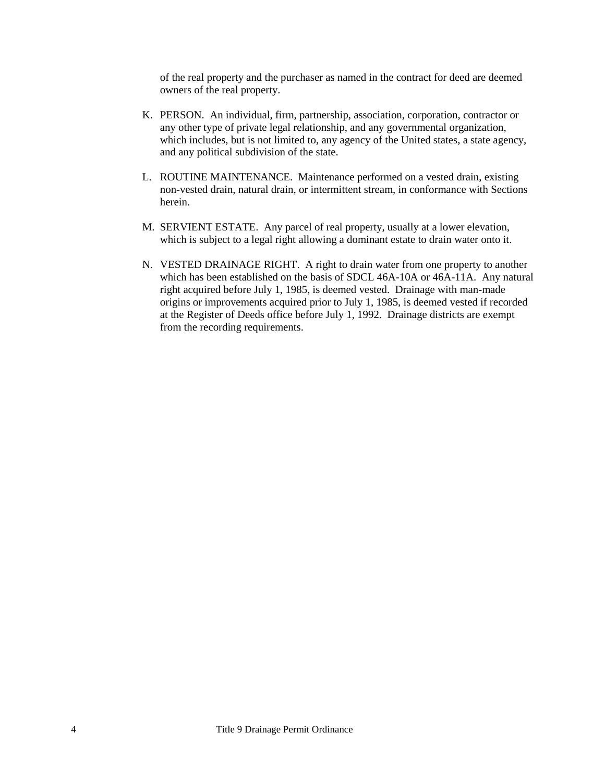of the real property and the purchaser as named in the contract for deed are deemed owners of the real property.

- K. PERSON. An individual, firm, partnership, association, corporation, contractor or any other type of private legal relationship, and any governmental organization, which includes, but is not limited to, any agency of the United states, a state agency, and any political subdivision of the state.
- L. ROUTINE MAINTENANCE. Maintenance performed on a vested drain, existing non-vested drain, natural drain, or intermittent stream, in conformance with Sections herein.
- M. SERVIENT ESTATE. Any parcel of real property, usually at a lower elevation, which is subject to a legal right allowing a dominant estate to drain water onto it.
- N. VESTED DRAINAGE RIGHT. A right to drain water from one property to another which has been established on the basis of SDCL 46A-10A or 46A-11A. Any natural right acquired before July 1, 1985, is deemed vested. Drainage with man-made origins or improvements acquired prior to July 1, 1985, is deemed vested if recorded at the Register of Deeds office before July 1, 1992. Drainage districts are exempt from the recording requirements.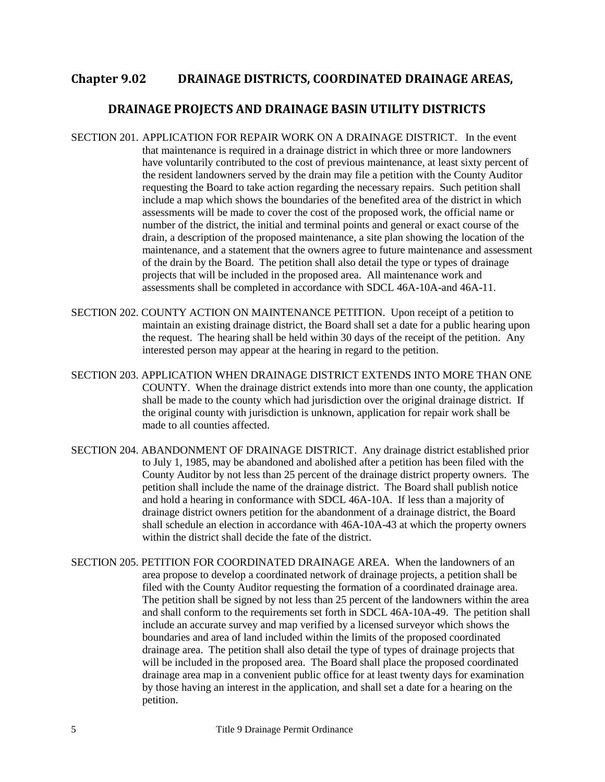#### <span id="page-4-0"></span>**Chapter 9.02 DRAINAGE DISTRICTS, COORDINATED DRAINAGE AREAS,**

#### **DRAINAGE PROJECTS AND DRAINAGE BASIN UTILITY DISTRICTS**

- SECTION 201. APPLICATION FOR REPAIR WORK ON A DRAINAGE DISTRICT. In the event that maintenance is required in a drainage district in which three or more landowners have voluntarily contributed to the cost of previous maintenance, at least sixty percent of the resident landowners served by the drain may file a petition with the County Auditor requesting the Board to take action regarding the necessary repairs. Such petition shall include a map which shows the boundaries of the benefited area of the district in which assessments will be made to cover the cost of the proposed work, the official name or number of the district, the initial and terminal points and general or exact course of the drain, a description of the proposed maintenance, a site plan showing the location of the maintenance, and a statement that the owners agree to future maintenance and assessment of the drain by the Board. The petition shall also detail the type or types of drainage projects that will be included in the proposed area. All maintenance work and assessments shall be completed in accordance with SDCL 46A-10A-and 46A-11.
- SECTION 202. COUNTY ACTION ON MAINTENANCE PETITION. Upon receipt of a petition to maintain an existing drainage district, the Board shall set a date for a public hearing upon the request. The hearing shall be held within 30 days of the receipt of the petition. Any interested person may appear at the hearing in regard to the petition.
- SECTION 203. APPLICATION WHEN DRAINAGE DISTRICT EXTENDS INTO MORE THAN ONE COUNTY. When the drainage district extends into more than one county, the application shall be made to the county which had jurisdiction over the original drainage district. If the original county with jurisdiction is unknown, application for repair work shall be made to all counties affected.
- SECTION 204. ABANDONMENT OF DRAINAGE DISTRICT. Any drainage district established prior to July 1, 1985, may be abandoned and abolished after a petition has been filed with the County Auditor by not less than 25 percent of the drainage district property owners. The petition shall include the name of the drainage district. The Board shall publish notice and hold a hearing in conformance with SDCL 46A-10A. If less than a majority of drainage district owners petition for the abandonment of a drainage district, the Board shall schedule an election in accordance with 46A-10A-43 at which the property owners within the district shall decide the fate of the district.
- SECTION 205. PETITION FOR COORDINATED DRAINAGE AREA. When the landowners of an area propose to develop a coordinated network of drainage projects, a petition shall be filed with the County Auditor requesting the formation of a coordinated drainage area. The petition shall be signed by not less than 25 percent of the landowners within the area and shall conform to the requirements set forth in SDCL 46A-10A-49. The petition shall include an accurate survey and map verified by a licensed surveyor which shows the boundaries and area of land included within the limits of the proposed coordinated drainage area. The petition shall also detail the type of types of drainage projects that will be included in the proposed area. The Board shall place the proposed coordinated drainage area map in a convenient public office for at least twenty days for examination by those having an interest in the application, and shall set a date for a hearing on the petition.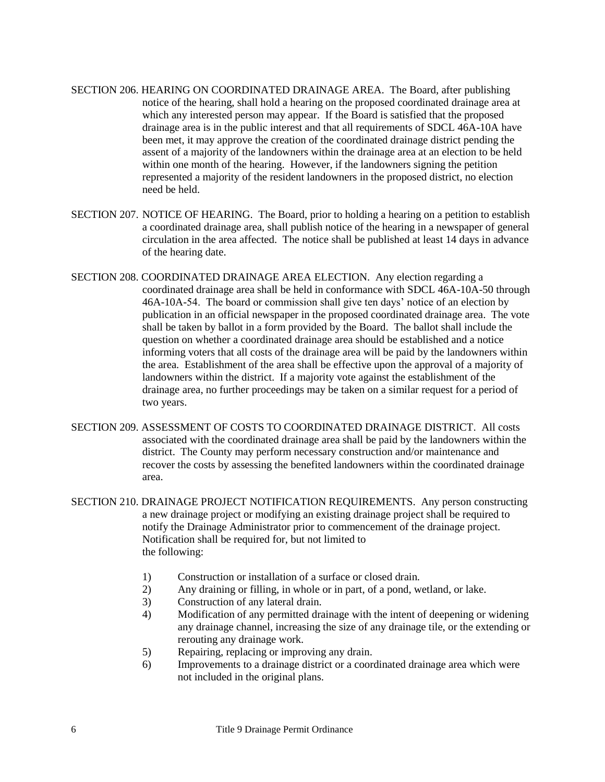- SECTION 206. HEARING ON COORDINATED DRAINAGE AREA. The Board, after publishing notice of the hearing, shall hold a hearing on the proposed coordinated drainage area at which any interested person may appear. If the Board is satisfied that the proposed drainage area is in the public interest and that all requirements of SDCL 46A-10A have been met, it may approve the creation of the coordinated drainage district pending the assent of a majority of the landowners within the drainage area at an election to be held within one month of the hearing. However, if the landowners signing the petition represented a majority of the resident landowners in the proposed district, no election need be held.
- SECTION 207. NOTICE OF HEARING. The Board, prior to holding a hearing on a petition to establish a coordinated drainage area, shall publish notice of the hearing in a newspaper of general circulation in the area affected. The notice shall be published at least 14 days in advance of the hearing date.
- SECTION 208. COORDINATED DRAINAGE AREA ELECTION. Any election regarding a coordinated drainage area shall be held in conformance with SDCL 46A-10A-50 through 46A-10A-54. The board or commission shall give ten days' notice of an election by publication in an official newspaper in the proposed coordinated drainage area. The vote shall be taken by ballot in a form provided by the Board. The ballot shall include the question on whether a coordinated drainage area should be established and a notice informing voters that all costs of the drainage area will be paid by the landowners within the area. Establishment of the area shall be effective upon the approval of a majority of landowners within the district. If a majority vote against the establishment of the drainage area, no further proceedings may be taken on a similar request for a period of two years.
- SECTION 209. ASSESSMENT OF COSTS TO COORDINATED DRAINAGE DISTRICT. All costs associated with the coordinated drainage area shall be paid by the landowners within the district. The County may perform necessary construction and/or maintenance and recover the costs by assessing the benefited landowners within the coordinated drainage area.
- SECTION 210. DRAINAGE PROJECT NOTIFICATION REQUIREMENTS. Any person constructing a new drainage project or modifying an existing drainage project shall be required to notify the Drainage Administrator prior to commencement of the drainage project. Notification shall be required for, but not limited to the following:
	- 1) Construction or installation of a surface or closed drain.
	- 2) Any draining or filling, in whole or in part, of a pond, wetland, or lake.
	- 3) Construction of any lateral drain.
	- 4) Modification of any permitted drainage with the intent of deepening or widening any drainage channel, increasing the size of any drainage tile, or the extending or rerouting any drainage work.
	- 5) Repairing, replacing or improving any drain.
	- 6) Improvements to a drainage district or a coordinated drainage area which were not included in the original plans.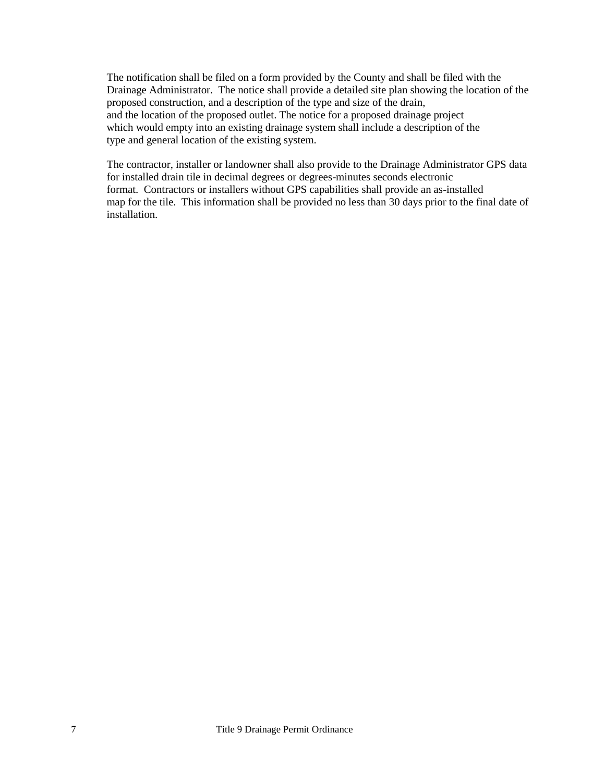The notification shall be filed on a form provided by the County and shall be filed with the Drainage Administrator. The notice shall provide a detailed site plan showing the location of the proposed construction, and a description of the type and size of the drain, and the location of the proposed outlet. The notice for a proposed drainage project which would empty into an existing drainage system shall include a description of the type and general location of the existing system.

The contractor, installer or landowner shall also provide to the Drainage Administrator GPS data for installed drain tile in decimal degrees or degrees-minutes seconds electronic format. Contractors or installers without GPS capabilities shall provide an as-installed map for the tile. This information shall be provided no less than 30 days prior to the final date of installation.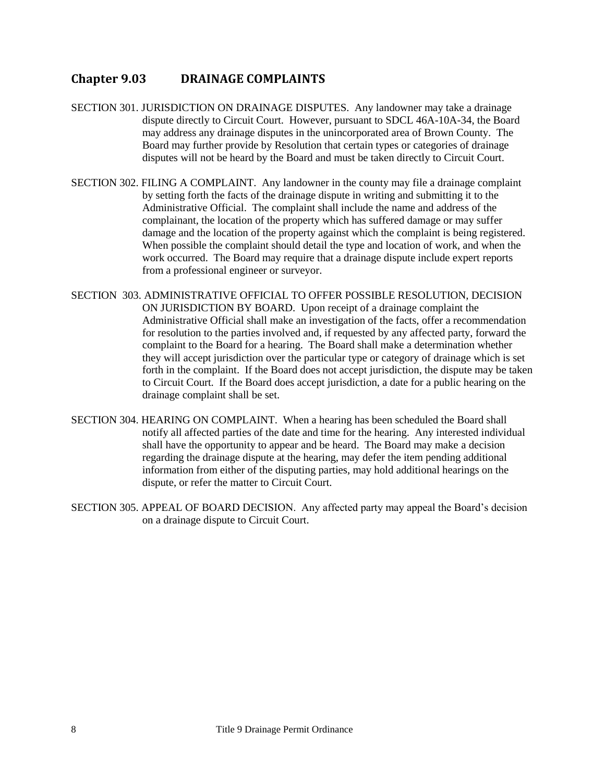## <span id="page-7-0"></span>**Chapter 9.03 DRAINAGE COMPLAINTS**

- SECTION 301. JURISDICTION ON DRAINAGE DISPUTES. Any landowner may take a drainage dispute directly to Circuit Court. However, pursuant to SDCL 46A-10A-34, the Board may address any drainage disputes in the unincorporated area of Brown County. The Board may further provide by Resolution that certain types or categories of drainage disputes will not be heard by the Board and must be taken directly to Circuit Court.
- SECTION 302. FILING A COMPLAINT. Any landowner in the county may file a drainage complaint by setting forth the facts of the drainage dispute in writing and submitting it to the Administrative Official. The complaint shall include the name and address of the complainant, the location of the property which has suffered damage or may suffer damage and the location of the property against which the complaint is being registered. When possible the complaint should detail the type and location of work, and when the work occurred. The Board may require that a drainage dispute include expert reports from a professional engineer or surveyor.
- SECTION 303. ADMINISTRATIVE OFFICIAL TO OFFER POSSIBLE RESOLUTION, DECISION ON JURISDICTION BY BOARD. Upon receipt of a drainage complaint the Administrative Official shall make an investigation of the facts, offer a recommendation for resolution to the parties involved and, if requested by any affected party, forward the complaint to the Board for a hearing. The Board shall make a determination whether they will accept jurisdiction over the particular type or category of drainage which is set forth in the complaint. If the Board does not accept jurisdiction, the dispute may be taken to Circuit Court. If the Board does accept jurisdiction, a date for a public hearing on the drainage complaint shall be set.
- SECTION 304. HEARING ON COMPLAINT. When a hearing has been scheduled the Board shall notify all affected parties of the date and time for the hearing. Any interested individual shall have the opportunity to appear and be heard. The Board may make a decision regarding the drainage dispute at the hearing, may defer the item pending additional information from either of the disputing parties, may hold additional hearings on the dispute, or refer the matter to Circuit Court.
- SECTION 305. APPEAL OF BOARD DECISION. Any affected party may appeal the Board's decision on a drainage dispute to Circuit Court.